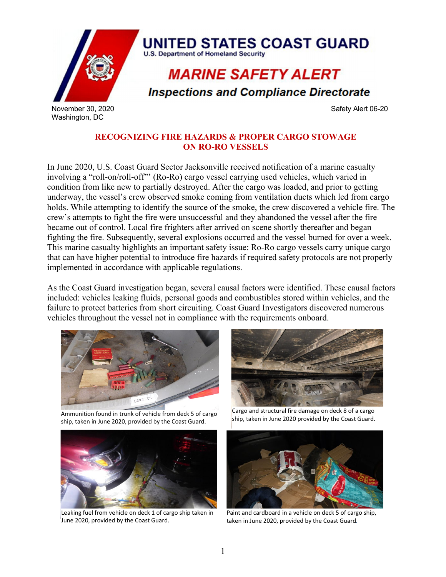

**RECOGNIZING FIRE HAZARDS & PROPER CARGO STOWAGE ON RO-RO VESSELS**

In June 2020, U.S. Coast Guard Sector Jacksonville received notification of a marine casualty involving a "roll-on/roll-off"' (Ro-Ro) cargo vessel carrying used vehicles, which varied in condition from like new to partially destroyed. After the cargo was loaded, and prior to getting underway, the vessel's crew observed smoke coming from ventilation ducts which led from cargo holds. While attempting to identify the source of the smoke, the crew discovered a vehicle fire. The crew's attempts to fight the fire were unsuccessful and they abandoned the vessel after the fire became out of control. Local fire frighters after arrived on scene shortly thereafter and began fighting the fire. Subsequently, several explosions occurred and the vessel burned for over a week. This marine casualty highlights an important safety issue: Ro-Ro cargo vessels carry unique cargo that can have higher potential to introduce fire hazards if required safety protocols are not properly implemented in accordance with applicable regulations.

As the Coast Guard investigation began, several causal factors were identified. These causal factors included: vehicles leaking fluids, personal goods and combustibles stored within vehicles, and the failure to protect batteries from short circuiting. Coast Guard Investigators discovered numerous vehicles throughout the vessel not in compliance with the requirements onboard.



Ammunition found in trunk of vehicle from deck 5 of cargo ship, taken in June 2020, provided by the Coast Guard.



 $\overline{a}$ 



Leaking fuel from vehicle on deck 1 of cargo ship taken in June 2020, provided by the Coast Guard.

Cargo and structural fire damage on deck 8 of a cargo ship, taken in June 2020 provided by the Coast Guard.



Paint and cardboard in a vehicle on deck 5 of cargo ship, taken in June 2020, provided by the Coast Guard*.*